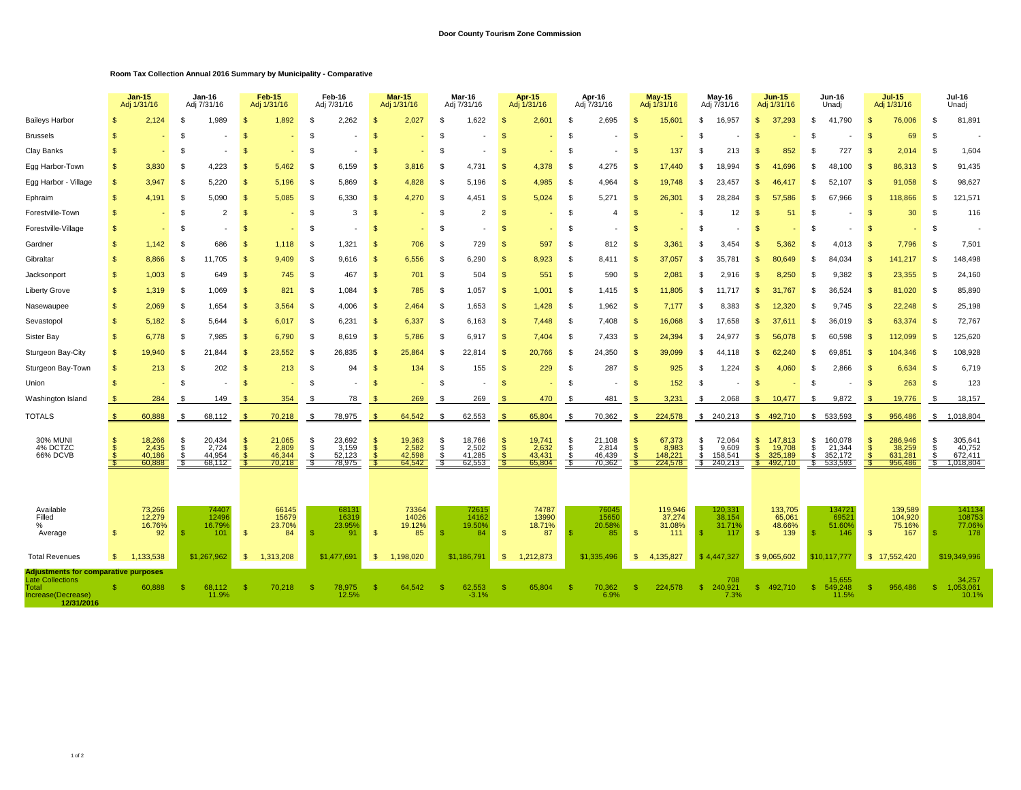## **Room Tax Collection Annual 2016 Summary by Municipality - Comparative**

|                                                                                                                     |                              | <b>Jan-15</b><br>Adj 1/31/16        | Jan-16<br>Adj 7/31/16 |                                     | Feb-15<br>Adj 1/31/16     |                                     | Feb-16<br>Adj 7/31/16     |                                     | <b>Mar-15</b><br>Adj 1/31/16         |                                     | Mar-16<br>Adj 7/31/16     |                                     | <b>Apr-15</b><br>Adj 1/31/16 |                                     | Apr-16<br>Adj 7/31/16     |                                     |                                                    | <b>May-15</b><br>Adj 1/31/16          |                        | May-16<br>Adj 7/31/16                 |                                 | <b>Jun-15</b><br>Adj 1/31/16            |                      | <b>Jun-16</b><br>Unadj                  |                    | $Jul-15$<br>Adj 1/31/16                 |                              | <b>Jul-16</b><br>Unadj                    |  |
|---------------------------------------------------------------------------------------------------------------------|------------------------------|-------------------------------------|-----------------------|-------------------------------------|---------------------------|-------------------------------------|---------------------------|-------------------------------------|--------------------------------------|-------------------------------------|---------------------------|-------------------------------------|------------------------------|-------------------------------------|---------------------------|-------------------------------------|----------------------------------------------------|---------------------------------------|------------------------|---------------------------------------|---------------------------------|-----------------------------------------|----------------------|-----------------------------------------|--------------------|-----------------------------------------|------------------------------|-------------------------------------------|--|
| <b>Baileys Harbor</b>                                                                                               |                              | 2,124                               |                       | 1,989                               | $\mathbf{s}$              | 1,892                               |                           | 2,262                               | К                                    | 2,027                               | £.                        | 1,622                               | S                            | 2,601                               | \$                        | 2,695                               | \$.                                                | 15,601                                | \$.                    | 16,957                                | $\mathfrak{L}$                  | 37.293                                  | £.                   | 41.790                                  | - \$               | 76,006                                  | - \$                         | 81,891                                    |  |
| <b>Brussels</b>                                                                                                     | <b>S</b>                     |                                     | - \$                  |                                     | $\mathbf{s}$              |                                     |                           |                                     | S.                                   |                                     | £.                        |                                     | \$                           |                                     | \$.                       |                                     | $\mathbf{s}$                                       |                                       | \$                     |                                       | \$                              |                                         | s.                   |                                         | $\mathbf{s}$       | 69                                      | - \$                         |                                           |  |
| Clay Banks                                                                                                          | <b>S</b>                     |                                     | -\$                   |                                     | -\$                       |                                     | -\$                       |                                     | S.                                   |                                     | -9                        |                                     | -S                           |                                     | - \$                      |                                     | -\$                                                | 137                                   | - \$                   | 213                                   | \$.                             | 852                                     | s.                   | 727                                     | - \$               | 2.014                                   | - \$                         | 1,604                                     |  |
| Egg Harbor-Town                                                                                                     | \$.                          | 3.830                               | - \$                  | 4.223                               | $\mathbf{\$}$             | 5,462                               | -\$                       | 6,159                               | $\mathcal{S}$                        | 3,816                               | - \$                      | 4.731                               | <b>S</b>                     | 4,378                               | - \$                      | 4.275                               | $\mathbf{s}$                                       | 17.440                                | \$                     | 18.994                                | \$.                             | 41.696                                  | s.                   | 48.100                                  | - \$               | 86,313                                  | - \$                         | 91,435                                    |  |
| Egg Harbor - Village                                                                                                | $\mathbf{s}$                 | 3.947                               | - \$                  | 5.220                               | $\mathbf{s}$              | 5,196                               | - \$                      | 5.869                               | £.                                   | 4,828                               | -9                        | 5.196                               | <b>S</b>                     | 4,985                               | - \$                      | 4.964                               | $\mathfrak{g}$                                     | 19.748                                | \$                     | 23.457                                | \$.                             | 46.417                                  | £                    | 52.107                                  | - 96               | 91,058                                  | - \$                         | 98,627                                    |  |
| Ephraim                                                                                                             | $\mathbf{s}$                 | 4,191                               | - \$                  | 5.090                               | $\mathbf{\$}$             | 5,085                               | - \$                      | 6.330                               | $\mathfrak{L}$                       | 4,270                               | - \$                      | 4.451                               | <b>S</b>                     | 5,024                               | - \$                      | 5.271                               | -\$                                                | 26,301                                | \$.                    | 28.284                                | \$.                             | 57.586                                  | £.                   | 67.966                                  | - \$               | 118,866                                 | - \$                         | 121,571                                   |  |
| Forestville-Town                                                                                                    | $\mathbb{S}$                 |                                     | - \$                  | $\overline{2}$                      | $\mathbf{s}$              |                                     | - \$                      | 3                                   | -\$                                  |                                     | - \$                      | $\overline{2}$                      | S                            |                                     | \$                        | 4                                   | <b>S</b>                                           |                                       | \$                     | 12                                    | -\$                             | 51                                      | £                    |                                         | - \$               | 30                                      | - \$                         | 116                                       |  |
| Forestville-Village                                                                                                 | $\mathbb{S}$                 |                                     | -\$                   |                                     | $\mathbf{s}$              |                                     | -\$                       |                                     | $\mathcal{S}$                        |                                     | \$                        |                                     | <b>S</b>                     |                                     | \$                        |                                     | <sup>\$</sup>                                      |                                       | \$                     |                                       | \$                              |                                         | s.                   |                                         | - \$               |                                         | - \$                         |                                           |  |
| Gardner                                                                                                             | $\mathbb{S}$                 | 1,142                               |                       | 686                                 | $\mathbf{s}$              | 1,118                               |                           | 1,321                               | S                                    | 706                                 | £                         | 729                                 | S                            | 597                                 | -S                        | 812                                 | $\mathfrak{g}$                                     | 3,361                                 | \$                     | 3.454                                 |                                 | 5,362                                   | s.                   | 4,013                                   |                    | 7,796                                   | - \$                         | 7,501                                     |  |
| Gibraltar                                                                                                           | $\mathbb{S}$                 | 8,866                               | - \$                  | 11,705                              | $\mathbf{s}$              | 9,409                               | - \$                      | 9,616                               | \$                                   | 6,556                               | - \$                      | 6,290                               | S                            | 8,923                               | - \$                      | 8,411                               | <sup>\$</sup>                                      | 37,057                                | \$                     | 35,781                                | \$                              | 80.649                                  | £.                   | 84,034                                  | -S                 | 141,217                                 | - \$                         | 148,498                                   |  |
| Jacksonport                                                                                                         | $\mathbb{S}$                 | 1,003                               | -\$                   | 649                                 | $\mathbf{s}$              | 745                                 | -\$                       | 467                                 | -S                                   | 701                                 | -\$                       | 504                                 | S                            | 551                                 | \$                        | 590                                 | <b>S</b>                                           | 2,081                                 | - \$                   | 2,916                                 | S.                              | 8,250                                   | £                    | 9,382                                   | - \$               | 23,355                                  | - \$                         | 24,160                                    |  |
| <b>Liberty Grove</b>                                                                                                | \$                           | 1,319                               | -\$                   | 1,069                               | $\mathbf{s}$              | 821                                 | -\$                       | 1,084                               | \$                                   | 785                                 | -\$                       | 1,057                               | <sub>\$</sub>                | 1,001                               | \$                        | 1,415                               | <b>S</b>                                           | 11,805                                | \$                     | 11.717                                | \$                              | 31.767                                  | -S                   | 36.524                                  | - \$               | 81,020                                  | - \$                         | 85,890                                    |  |
| Nasewaupee                                                                                                          | $\mathbf{s}$                 | 2,069                               | -\$                   | 1,654                               | $\mathbf{s}$              | 3,564                               | -\$                       | 4,006                               | $\mathbf{s}$                         | 2,464                               | -\$                       | 1,653                               | S                            | 1,428                               | - \$                      | 1,962                               | $\mathfrak{s}$                                     | 7,177                                 | \$                     | 8.383                                 | \$.                             | 12.320                                  | s.                   | 9,745                                   | - \$               | 22,248                                  | - \$                         | 25,198                                    |  |
| Sevastopol                                                                                                          | $\mathbf{s}$                 | 5,182                               | -\$                   | 5.644                               | $\mathbf{s}$              | 6,017                               | -\$                       | 6,231                               | $\mathfrak{L}$                       | 6,337                               | - \$                      | 6,163                               | <b>S</b>                     | 7,448                               | - \$                      | 7,408                               | <b>S</b>                                           | 16,068                                | \$.                    | 17.658                                | $\mathfrak{L}$                  | 37.611                                  | £.                   | 36,019                                  | - \$               | 63,374                                  | - \$                         | 72,767                                    |  |
| Sister Bay                                                                                                          | $\mathbf{s}$                 | 6,778                               | - \$                  | 7,985                               | $\mathbf{s}$              | 6,790                               | - \$                      | 8,619                               | \$                                   | 5,786                               | - \$                      | 6,917                               | <b>S</b>                     | 7,404                               | - \$                      | 7,433                               | <b>S</b>                                           | 24,394                                | \$                     | 24.977                                | \$.                             | 56,078                                  | £                    | 60,598                                  | - S                | 112,099                                 | - \$                         | 125,620                                   |  |
| Sturgeon Bay-City                                                                                                   | \$.                          | 19.940                              | - 96                  | 21.844                              | -S                        | 23,552                              | -\$                       | 26,835                              | -\$                                  | 25,864                              | - \$                      | 22.814                              | -S                           | 20,766                              | -\$                       | 24,350                              | - \$                                               | 39,099                                | \$.                    | 44.118                                | \$.                             | 62.240                                  | £.                   | 69,85                                   | - \$               | 104,346                                 | - \$                         | 108,928                                   |  |
| Sturgeon Bay-Town                                                                                                   | $\mathbf{s}$                 | 213                                 |                       | 202                                 | $\mathbf{\$}$             | 213                                 | - \$                      | 94                                  | S.                                   | 134                                 | - \$                      | 155                                 | -S                           | 229                                 | \$                        | 287                                 | $\mathbf{s}$                                       | 925                                   | \$                     | 1.224                                 | \$.                             | 4.060                                   | -S                   | 2.866                                   |                    | 6,634                                   | - \$                         | 6,719                                     |  |
| Union                                                                                                               |                              |                                     | - \$                  |                                     | -\$                       |                                     |                           |                                     |                                      |                                     | \$                        |                                     | \$                           |                                     | \$                        |                                     | 9.                                                 | 152                                   | - \$                   |                                       | \$.                             |                                         | s.                   |                                         | - \$               | 263                                     | - \$                         | 123                                       |  |
| Washington Island                                                                                                   |                              | 284                                 | - 95                  | 149                                 | S.                        | 354                                 |                           | 78                                  |                                      | 269                                 | £.                        | 269                                 | S.                           | 470                                 | - \$                      | 481                                 | -\$                                                | 3,231                                 | -S                     | 2,068                                 | -\$                             | 10,477                                  | -S                   | 9,872                                   | - S                | 19,776                                  | - \$                         | 18,157                                    |  |
| <b>TOTALS</b>                                                                                                       | \$.                          | 60,888                              | -\$                   | 68,112                              | $\mathbf{s}$              | 70,218                              | - \$                      | 78,975                              | $\mathcal{S}$                        | 64,542                              | \$                        | 62,553                              | - \$                         | 65,804                              | \$                        | 70,362                              | $\mathbf{s}$                                       | 224,578                               |                        | \$240,213                             |                                 | \$492,710                               |                      | \$ 533,593                              | £.                 | 956,486                                 |                              | \$1,018,804                               |  |
| <b>30% MUNI</b><br>4% DCTZC<br>66% DCVB                                                                             | $\mathbb{S}$<br>$\mathbf{s}$ | 18,266<br>2,435<br>40,186<br>60,888 | -\$<br>\$<br>£.       | 20,434<br>2,724<br>44.954<br>68,112 | -S<br>$\mathbf{s}$<br>-\$ | 21,065<br>2,809<br>46,344<br>70,218 | -\$<br>\$<br>- \$<br>- \$ | 23,692<br>3,159<br>52,123<br>78,975 | -\$<br>$\mathbf{s}$<br>$\mathcal{S}$ | 19,363<br>2,582<br>42,598<br>64,542 | -\$<br>\$<br>- \$<br>- \$ | 18,766<br>2,502<br>41,285<br>62,553 | S<br><b>S</b><br><b>S</b>    | 19,741<br>2,632<br>43,431<br>65,804 | -\$<br>\$<br>- \$<br>- \$ | 21,108<br>2,814<br>46,439<br>70,362 | <b>S</b><br>$\mathbf{s}$<br>$\mathfrak{L}$<br>- 96 | 67,373<br>8,983<br>148,221<br>224,578 | \$<br>\$<br>\$<br>- \$ | 72,064<br>9.609<br>158,541<br>240,213 | \$<br>$\mathsf{\$}$<br>\$<br>S. | 147,813<br>19,708<br>325,189<br>492,710 | \$<br>\$<br>S.<br>S. | 160,078<br>21,344<br>352,172<br>533,593 | -S<br>$\mathbf{s}$ | 286,946<br>38,259<br>631,281<br>956,486 | - \$<br>- \$<br>- \$<br>- \$ | 305,641<br>40,752<br>672,411<br>1,018,804 |  |
| Available<br>Filled<br>$\frac{0}{2}$<br>Average                                                                     | \$                           | 73,266<br>12,279<br>16.76%<br>92    |                       | 74407<br>12496<br>16.79%<br>101     | $\mathbf{s}$              | 66145<br>15679<br>23.70%<br>84      |                           | 68131<br>16319<br>23.95%<br>91      | $\mathbf{s}$                         | 73364<br>14026<br>19.12%<br>85      |                           | 72615<br>14162<br>19.50%<br>84      | <b>S</b>                     | 74787<br>13990<br>18.71%<br>87      |                           | 76045<br>15650<br>20.58%<br>85      | $\mathbf{s}$                                       | 119,946<br>37,274<br>31.08%<br>111    | - \$                   | 120,331<br>38,154<br>31.71%<br>117    | -\$                             | 133,705<br>65,061<br>48.66%<br>139      | - \$                 | 134721<br>6952<br>51.60%<br>146         | $\mathbf{\$}$      | 139,589<br>104,920<br>75.16%<br>167     | - \$                         | 141134<br>108753<br>77.06%<br>178         |  |
| <b>Total Revenues</b>                                                                                               | \$.                          | 1.133.538                           |                       | \$1,267.962                         | -\$                       | 1,313,208                           |                           | \$1,477,691                         | -\$                                  | 1,198,020                           |                           | \$1,186,791                         | - \$                         | 1,212,873                           |                           | \$1,335,496                         | -S                                                 | 4,135,827                             |                        | \$4.447.327                           |                                 | \$9,065,602                             |                      | \$10,117,777                            |                    | \$17,552,420                            |                              | \$19,349,996                              |  |
| <b>Adjustments for comparative purposes</b><br><b>Late Collections</b><br>Total<br>Increase(Decrease)<br>12/31/2016 |                              | 60,888                              |                       | 68,112<br>11.9%                     | -\$                       | 70,218                              |                           | 78,975<br>12.5%                     |                                      | 64,542                              |                           | 62,553<br>$-3.1%$                   |                              | 65,804                              | -96                       | 70.362<br>6.9%                      |                                                    | 224,578                               | -86                    | 708<br>240,921<br>7.3%                | -S                              | 492,710                                 | -\$                  | 15,655<br>549.248<br>11.5%              | -S                 | 956,486                                 | -\$                          | 34,257<br>1,053,061<br>10.1%              |  |